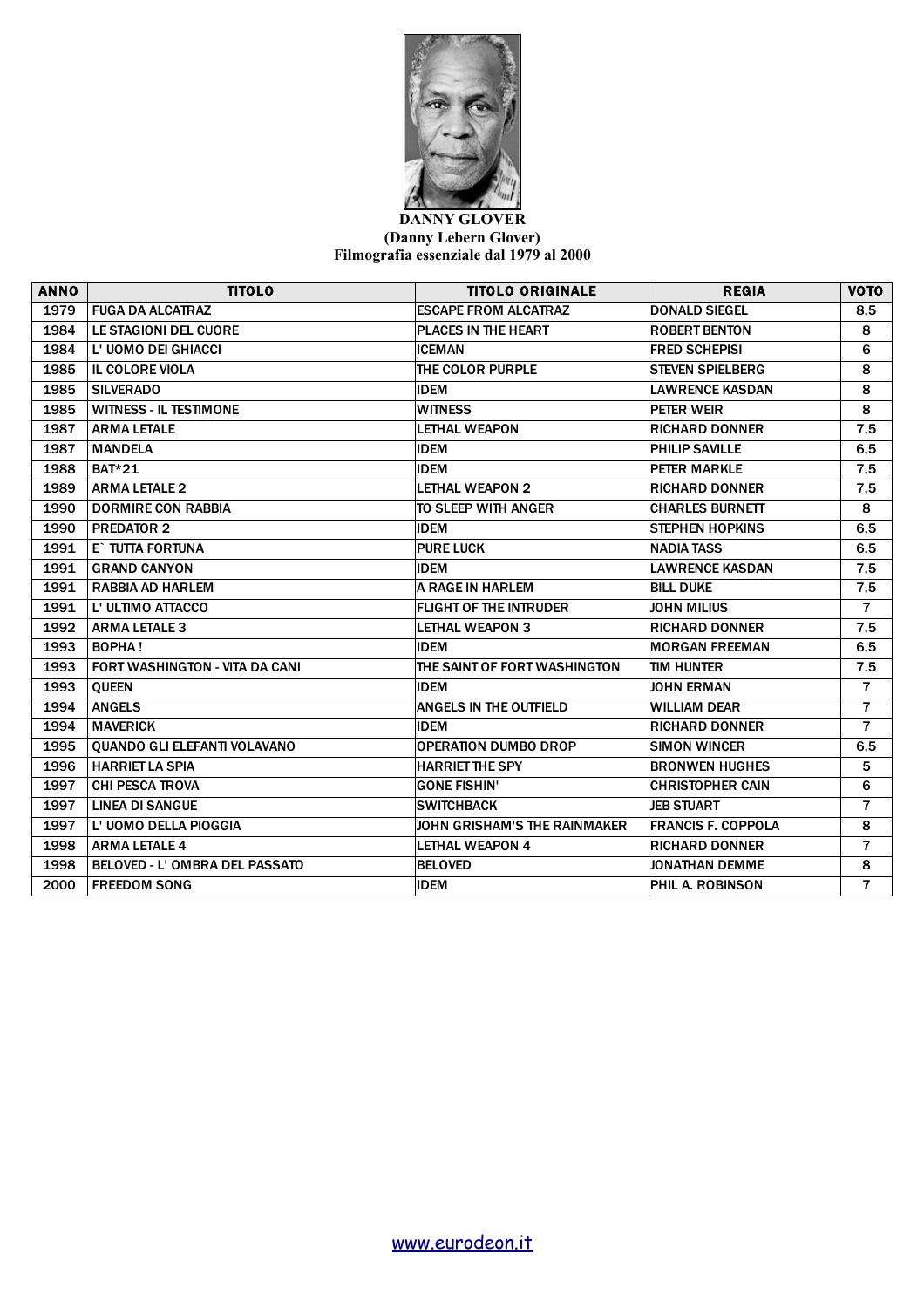

## **DANNY GLOVER (Danny Lebern Glover) Filmografia essenziale dal 1979 al 2000**

| <b>ANNO</b> | <b>TITOLO</b>                         | <b>TITOLO ORIGINALE</b>             | <b>REGIA</b>              | <b>VOTO</b>    |
|-------------|---------------------------------------|-------------------------------------|---------------------------|----------------|
| 1979        | <b>FUGA DA ALCATRAZ</b>               | <b>ESCAPE FROM ALCATRAZ</b>         | <b>DONALD SIEGEL</b>      | 8,5            |
| 1984        | <b>LE STAGIONI DEL CUORE</b>          | PLACES IN THE HEART                 | <b>ROBERT BENTON</b>      | 8              |
| 1984        | L' UOMO DEI GHIACCI                   | <b>ICEMAN</b>                       | <b>FRED SCHEPISI</b>      | 6              |
| 1985        | <b>IL COLORE VIOLA</b>                | THE COLOR PURPLE                    | <b>ISTEVEN SPIELBERG</b>  | 8              |
| 1985        | <b>SILVERADO</b>                      | <b>IDEM</b>                         | <b>LAWRENCE KASDAN</b>    | 8              |
| 1985        | <b>WITNESS - IL TESTIMONE</b>         | <b>WITNESS</b>                      | PETER WEIR                | 8              |
| 1987        | <b>ARMA LETALE</b>                    | <b>LETHAL WEAPON</b>                | <b>RICHARD DONNER</b>     | 7,5            |
| 1987        | <b>MANDELA</b>                        | <b>IDEM</b>                         | <b>PHILIP SAVILLE</b>     | 6,5            |
| 1988        | <b>BAT*21</b>                         | <b>IDEM</b>                         | <b>PETER MARKLE</b>       | 7,5            |
| 1989        | <b>ARMA LETALE 2</b>                  | <b>LETHAL WEAPON 2</b>              | <b>RICHARD DONNER</b>     | 7,5            |
| 1990        | <b>DORMIRE CON RABBIA</b>             | TO SLEEP WITH ANGER                 | <b>CHARLES BURNETT</b>    | 8              |
| 1990        | <b>PREDATOR 2</b>                     | <b>IDEM</b>                         | <b>STEPHEN HOPKINS</b>    | 6,5            |
| 1991        | E` TUTTA FORTUNA                      | <b>PURE LUCK</b>                    | NADIA TASS                | 6,5            |
| 1991        | <b>GRAND CANYON</b>                   | <b>IDEM</b>                         | <b>LAWRENCE KASDAN</b>    | 7,5            |
| 1991        | <b>RABBIA AD HARLEM</b>               | A RAGE IN HARLEM                    | <b>BILL DUKE</b>          | 7,5            |
| 1991        | L' ULTIMO ATTACCO                     | <b>FLIGHT OF THE INTRUDER</b>       | <b>JOHN MILIUS</b>        | $\overline{7}$ |
| 1992        | <b>ARMA LETALE 3</b>                  | <b>LETHAL WEAPON 3</b>              | <b>RICHARD DONNER</b>     | 7,5            |
| 1993        | <b>BOPHA!</b>                         | <b>IDEM</b>                         | <b>MORGAN FREEMAN</b>     | 6,5            |
| 1993        | <b>FORT WASHINGTON - VITA DA CANI</b> | THE SAINT OF FORT WASHINGTON        | <b>TIM HUNTER</b>         | 7,5            |
| 1993        | <b>QUEEN</b>                          | <b>IDEM</b>                         | <b>JOHN ERMAN</b>         | $\overline{7}$ |
| 1994        | <b>ANGELS</b>                         | <b>ANGELS IN THE OUTFIELD</b>       | <b>WILLIAM DEAR</b>       | $\overline{7}$ |
| 1994        | <b>MAVERICK</b>                       | <b>IDEM</b>                         | <b>RICHARD DONNER</b>     | $\overline{7}$ |
| 1995        | <b>QUANDO GLI ELEFANTI VOLAVANO</b>   | <b>OPERATION DUMBO DROP</b>         | <b>SIMON WINCER</b>       | 6,5            |
| 1996        | <b>HARRIET LA SPIA</b>                | <b>HARRIET THE SPY</b>              | <b>BRONWEN HUGHES</b>     | 5              |
| 1997        | <b>CHI PESCA TROVA</b>                | <b>GONE FISHIN'</b>                 | <b>CHRISTOPHER CAIN</b>   | 6              |
| 1997        | <b>LINEA DI SANGUE</b>                | <b>SWITCHBACK</b>                   | <b>JEB STUART</b>         | $\overline{7}$ |
| 1997        | L' UOMO DELLA PIOGGIA                 | <b>JOHN GRISHAM'S THE RAINMAKER</b> | <b>FRANCIS F. COPPOLA</b> | 8              |
| 1998        | <b>ARMA LETALE 4</b>                  | <b>LETHAL WEAPON 4</b>              | <b>RICHARD DONNER</b>     | $\overline{7}$ |
| 1998        | <b>BELOVED - L' OMBRA DEL PASSATO</b> | <b>BELOVED</b>                      | <b>JONATHAN DEMME</b>     | 8              |
| 2000        | <b>FREEDOM SONG</b>                   | <b>IDEM</b>                         | PHIL A. ROBINSON          | $\overline{7}$ |